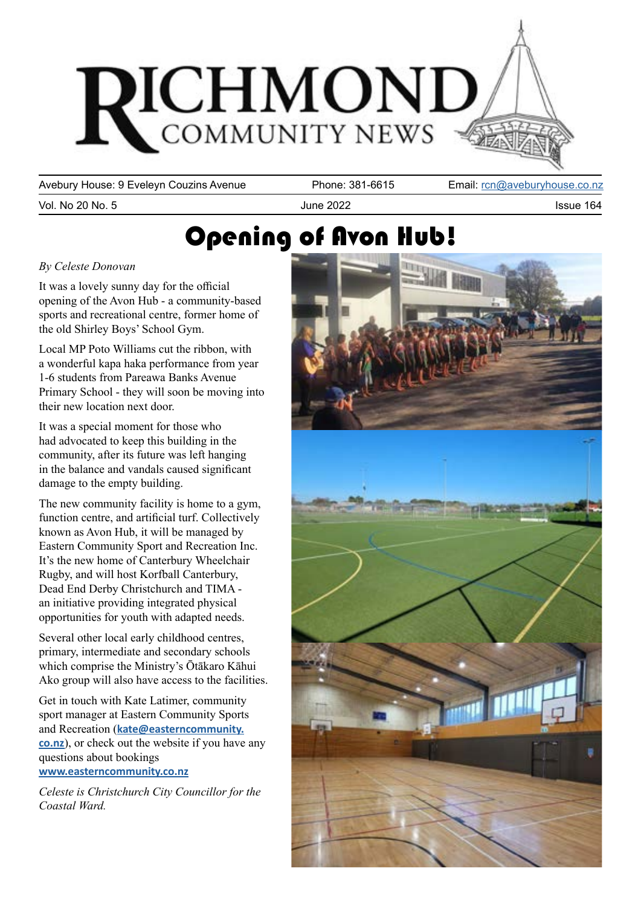

Avebury House: 9 Eveleyn Couzins Avenue Phone: 381-6615 Email: [rcn@aveburyhouse.co.nz](mailto:rcn%40aveburyhouse.co.nz?subject=)

Vol. No 20 No. 5 September 2022 September 2022 All the 2022 September 2022 September 2022 September 2022 September 2022

## Opening of Avon Hub!

#### *By Celeste Donovan*

It was a lovely sunny day for the official opening of the Avon Hub - a community-based sports and recreational centre, former home of the old Shirley Boys' School Gym.

Local MP Poto Williams cut the ribbon, with a wonderful kapa haka performance from year 1-6 students from Pareawa Banks Avenue Primary School - they will soon be moving into their new location next door.

It was a special moment for those who had advocated to keep this building in the community, after its future was left hanging in the balance and vandals caused significant damage to the empty building.

The new community facility is home to a gym, function centre, and artificial turf. Collectively known as Avon Hub, it will be managed by Eastern Community Sport and Recreation Inc. It's the new home of Canterbury Wheelchair Rugby, and will host Korfball Canterbury, Dead End Derby Christchurch and TIMA an initiative providing integrated physical opportunities for youth with adapted needs.

Several other local early childhood centres, primary, intermediate and secondary schools which comprise the Ministry's Ōtākaro Kāhui Ako group will also have access to the facilities.

Get in touch with Kate Latimer, community sport manager at Eastern Community Sports and Recreation (**[kate@easterncommunity.](mailto:kate%40easterncommunity.co.nz?subject=) [co.nz](mailto:kate%40easterncommunity.co.nz?subject=)**), or check out the website if you have any questions about bookings **[www.easterncommunity.co.nz](http://www.easterncommunity.co.nz)**

*Celeste is Christchurch City Councillor for the Coastal Ward.*

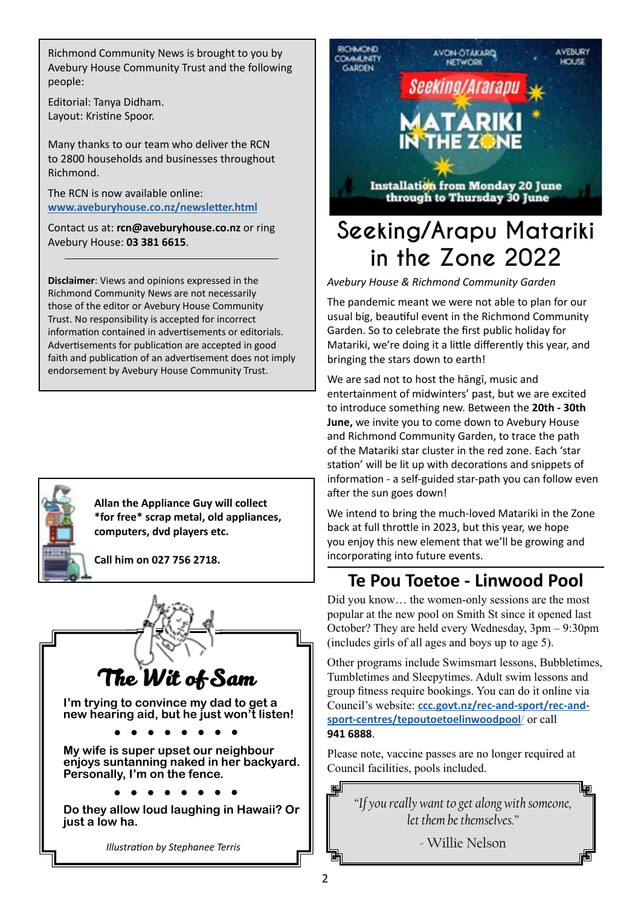Richmond Community News is brought to you by Avebury House Community Trust and the following people:

Editorial: Tanya Didham. Layout: Kristine Spoor.

Many thanks to our team who deliver the RCN to 2800 households and businesses throughout Richmond.

The RCN is now available online: **[www.aveburyhouse.co.nz/newsletter.html](http://www.aveburyhouse.co.nz/newsletter.html)**

Contact us at: **rcn@aveburyhouse.co.nz** or ring Avebury House: **03 381 6615**.

**Disclaimer**: Views and opinions expressed in the Richmond Community News are not necessarily those of the editor or Avebury House Community Trust. No responsibility is accepted for incorrect information contained in advertisements or editorials. Advertisements for publication are accepted in good faith and publication of an advertisement does not imply endorsement by Avebury House Community Trust.



**Allan the Appliance Guy will collect \*for free\* scrap metal, old appliances, computers, dvd players etc.** 

**Call him on 027 756 2718.**





## **Seeking/Arapu Matariki in the Zone 2022**

*Avebury House & Richmond Community Garden*

The pandemic meant we were not able to plan for our usual big, beautiful event in the Richmond Community Garden. So to celebrate the first public holiday for Matariki, we're doing it a little differently this year, and bringing the stars down to earth!

We are sad not to host the hāngī, music and entertainment of midwinters' past, but we are excited to introduce something new. Between the **20th - 30th June,** we invite you to come down to Avebury House and Richmond Community Garden, to trace the path of the Matariki star cluster in the red zone. Each 'star station' will be lit up with decorations and snippets of information - a self-guided star-path you can follow even after the sun goes down!

We intend to bring the much-loved Matariki in the Zone back at full throttle in 2023, but this year, we hope you enjoy this new element that we'll be growing and incorporating into future events.

### **Te Pou Toetoe - Linwood Pool**

Did you know… the women-only sessions are the most popular at the new pool on Smith St since it opened last October? They are held every Wednesday, 3pm – 9:30pm (includes girls of all ages and boys up to age 5).

Other programs include Swimsmart lessons, Bubbletimes, Tumbletimes and Sleepytimes. Adult swim lessons and group fitness require bookings. You can do it online via Council's website: **[ccc.govt.nz/rec-and-sport/rec-and](http://ccc.govt.nz/rec-and-sport/rec-and-sport-centres/tepoutoetoelinwoodpool/)[sport-centres/tepoutoetoelinwoodpool](http://ccc.govt.nz/rec-and-sport/rec-and-sport-centres/tepoutoetoelinwoodpool/)**/ or call **941 6888**.

Please note, vaccine passes are no longer required at Council facilities, pools included.

*"If you really want to get along with someone, let them be themselves."* 

呾

- Willie Nelson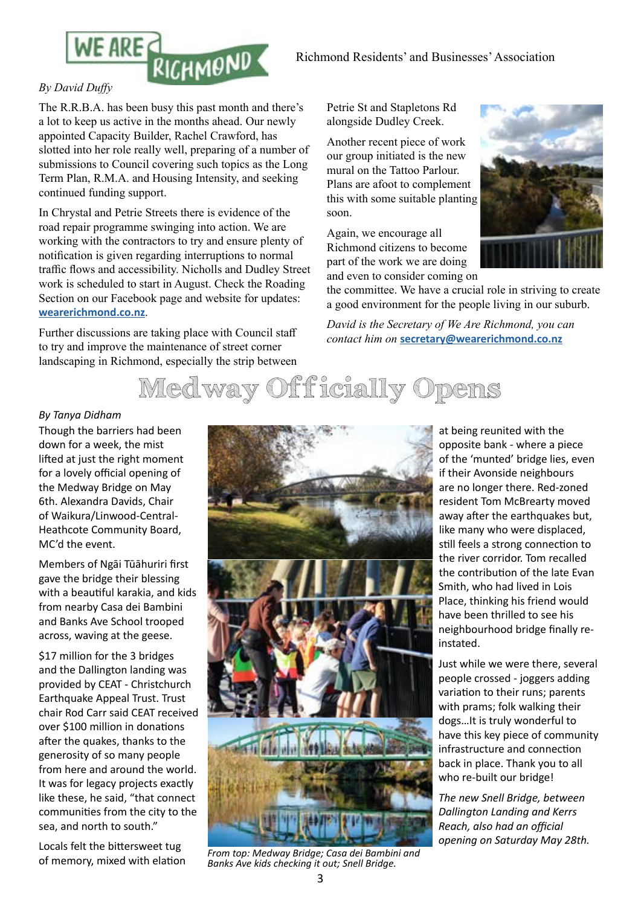

The R.R.B.A. has been busy this past month and there's a lot to keep us active in the months ahead. Our newly appointed Capacity Builder, Rachel Crawford, has slotted into her role really well, preparing of a number of submissions to Council covering such topics as the Long Term Plan, R.M.A. and Housing Intensity, and seeking continued funding support.

In Chrystal and Petrie Streets there is evidence of the road repair programme swinging into action. We are working with the contractors to try and ensure plenty of notification is given regarding interruptions to normal traffic flows and accessibility. Nicholls and Dudley Street work is scheduled to start in August. Check the Roading Section on our Facebook page and website for updates: **[wearerichmond.co.nz](http://wearerichmond.co.nz)**.

Further discussions are taking place with Council staff to try and improve the maintenance of street corner landscaping in Richmond, especially the strip between Petrie St and Stapletons Rd alongside Dudley Creek.

Another recent piece of work our group initiated is the new mural on the Tattoo Parlour. Plans are afoot to complement this with some suitable planting soon.

Again, we encourage all Richmond citizens to become part of the work we are doing and even to consider coming on



the committee. We have a crucial role in striving to create a good environment for the people living in our suburb.

*David is the Secretary of We Are Richmond, you can contact him on* **[secretary@wearerichmond.co.nz](mailto:secretary%40wearerichmond.co.nz?subject=)**



#### *By Tanya Didham*

Though the barriers had been down for a week, the mist lifted at just the right moment for a lovely official opening of the Medway Bridge on May 6th. Alexandra Davids, Chair of Waikura/Linwood-Central-Heathcote Community Board, MC'd the event.

Members of Ngāi Tūāhuriri first gave the bridge their blessing with a beautiful karakia, and kids from nearby Casa dei Bambini and Banks Ave School trooped across, waving at the geese.

\$17 million for the 3 bridges and the Dallington landing was provided by CEAT - Christchurch Earthquake Appeal Trust. Trust chair Rod Carr said CEAT received over \$100 million in donations after the quakes, thanks to the generosity of so many people from here and around the world. It was for legacy projects exactly like these, he said, "that connect communities from the city to the sea, and north to south."

Locals felt the bittersweet tug of memory, mixed with elation



*From top: Medway Bridge; Casa dei Bambini and Banks Ave kids checking it out; Snell Bridge.*

at being reunited with the opposite bank - where a piece of the 'munted' bridge lies, even if their Avonside neighbours are no longer there. Red-zoned resident Tom McBrearty moved away after the earthquakes but, like many who were displaced, still feels a strong connection to the river corridor. Tom recalled the contribution of the late Evan Smith, who had lived in Lois Place, thinking his friend would have been thrilled to see his neighbourhood bridge finally reinstated.

Just while we were there, several people crossed - joggers adding variation to their runs; parents with prams; folk walking their dogs…It is truly wonderful to have this key piece of community infrastructure and connection back in place. Thank you to all who re-built our bridge!

*The new Snell Bridge, between Dallington Landing and Kerrs Reach, also had an official opening on Saturday May 28th.*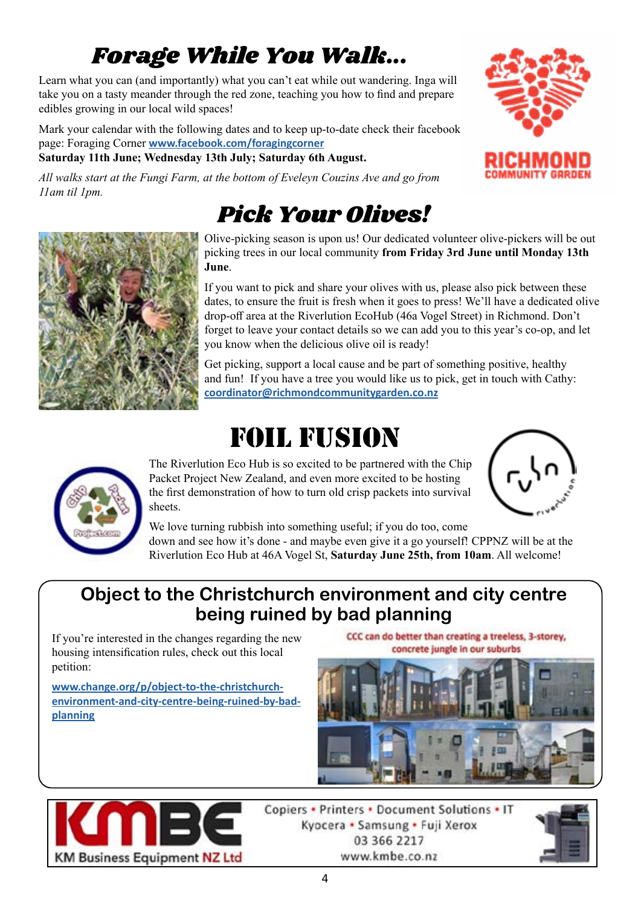## *Forage While You Walk...*

Learn what you can (and importantly) what you can't eat while out wandering. Inga will take you on a tasty meander through the red zone, teaching you how to find and prepare edibles growing in our local wild spaces!

Mark your calendar with the following dates and to keep up-to-date check their facebook page: Foraging Corner **[www.facebook.com/foragingcorner](http://www.facebook.com/foragingcorner)**

### **Saturday 11th June; Wednesday 13th July; Saturday 6th August.**

*All walks start at the Fungi Farm, at the bottom of Eveleyn Couzins Ave and go from 11am til 1pm.* 

## *Pick Your Olives!*

Olive-picking season is upon us! Our dedicated volunteer olive-pickers will be out picking trees in our local community **from Friday 3rd June until Monday 13th June**.

If you want to pick and share your olives with us, please also pick between these dates, to ensure the fruit is fresh when it goes to press! We'll have a dedicated olive drop-off area at the Riverlution EcoHub (46a Vogel Street) in Richmond. Don't forget to leave your contact details so we can add you to this year's co-op, and let you know when the delicious olive oil is ready!

Get picking, support a local cause and be part of something positive, healthy and fun! If you have a tree you would like us to pick, get in touch with Cathy: **[coordinator@richmondcommunitygarden.co.nz](mailto:coordinator%40richmondcommunitygarden.co.nz?subject=)**

# Foil Fusion

The Riverlution Eco Hub is so excited to be partnered with the Chip Packet Project New Zealand, and even more excited to be hosting the first demonstration of how to turn old crisp packets into survival sheets.





We love turning rubbish into something useful; if you do too, come

down and see how it's done - and maybe even give it a go yourself! CPPNZ will be at the Riverlution Eco Hub at 46A Vogel St, **Saturday June 25th, from 10am**. All welcome!

### **Object to the Christchurch environment and city centre being ruined by bad planning**

If you're interested in the changes regarding the new housing intensification rules, check out this local petition:

**[www.change.org/p/object-to-the-christchurch](http://www.change.org/p/object-to-the-christchurch-environment-and-city-centre-being-ruined-by-bad-planning)[environment-and-city-centre-being-ruined-by-bad](http://www.change.org/p/object-to-the-christchurch-environment-and-city-centre-being-ruined-by-bad-planning)[planning](http://www.change.org/p/object-to-the-christchurch-environment-and-city-centre-being-ruined-by-bad-planning)**

CCC can do better than creating a treeless, 3-storey, concrete jungle in our suburbs





Copiers • Printers • Document Solutions • IT Kyocera • Samsung • Fuji Xerox 03 366 2217 www.kmbe.co.nz



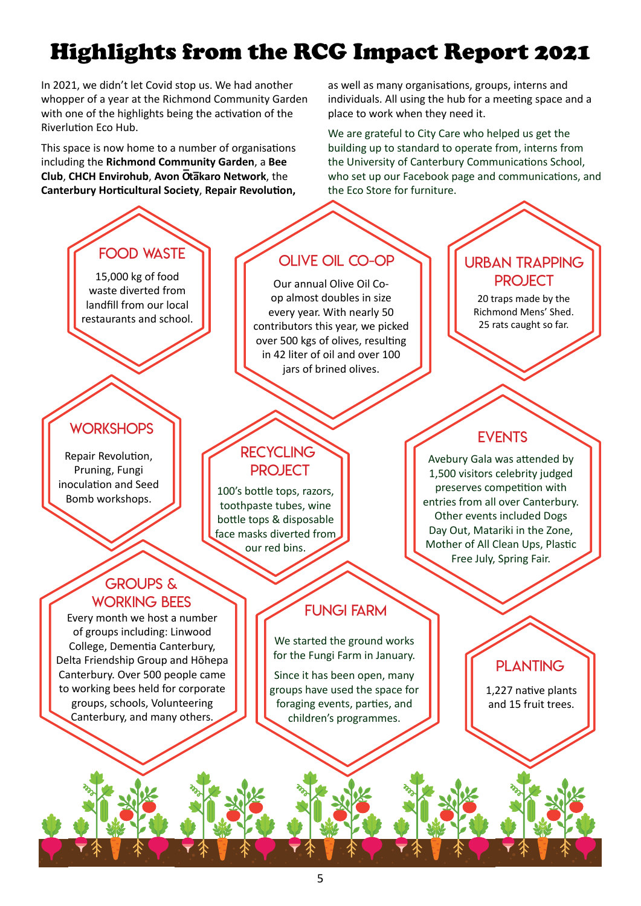## Highlights from the RCG Impact Report 2021

In 2021, we didn't let Covid stop us. We had another whopper of a year at the Richmond Community Garden with one of the highlights being the activation of the Riverlution Eco Hub.

This space is now home to a number of organisations including the **Richmond Community Garden**, a **Bee Club**, **CHCH Envirohub**, **Avon O– ta–karo Network**, the **Canterbury Horticultural Society**, **Repair Revolution,** 

as well as many organisations, groups, interns and individuals. All using the hub for a meeting space and a place to work when they need it.

We are grateful to City Care who helped us get the building up to standard to operate from, interns from the University of Canterbury Communications School, who set up our Facebook page and communications, and the Eco Store for furniture.

## Food Waste

15,000 kg of food waste diverted from landfill from our local restaurants and school.

### **WORKSHOPS**

Repair Revolution, Pruning, Fungi inoculation and Seed Bomb workshops.

### groups & WORKING BEES

of groups including: Linwood College, Dementia Canterbury, Delta Friendship Group and Hōhepa Canterbury. Over 500 people came to working bees held for corporate groups, schools, Volunteering Canterbury, and many others.

### Olive oil co-op

Our annual Olive Oil Coop almost doubles in size every year. With nearly 50 contributors this year, we picked over 500 kgs of olives, resulting in 42 liter of oil and over 100 jars of brined olives.

### **RECYCLING PROJECT**

100's bottle tops, razors, toothpaste tubes, wine bottle tops & disposable face masks diverted from our red bins.

## Every month we host a number FUNGI FARM

We started the ground works for the Fungi Farm in January.

Since it has been open, many groups have used the space for foraging events, parties, and children's programmes.

### **EVENTS**

URBAN TRAPPING **PROJECT** 20 traps made by the Richmond Mens' Shed. 25 rats caught so far.

Avebury Gala was attended by 1,500 visitors celebrity judged preserves competition with entries from all over Canterbury. Other events included Dogs Day Out, Matariki in the Zone, Mother of All Clean Ups, Plastic Free July, Spring Fair.

### **PLANTING**

1,227 native plants and 15 fruit trees.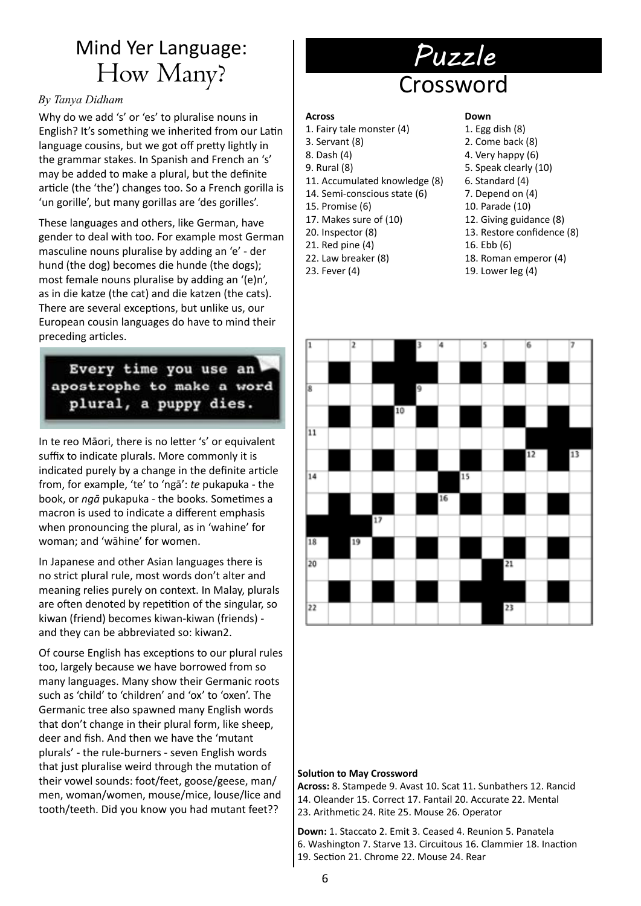## Mind Yer Language: How Many?

#### *By Tanya Didham*

Why do we add 's' or 'es' to pluralise nouns in English? It's something we inherited from our Latin language cousins, but we got off pretty lightly in the grammar stakes. In Spanish and French an 's' may be added to make a plural, but the definite article (the 'the') changes too. So a French gorilla is 'un gorille', but many gorillas are 'des gorilles'.

These languages and others, like German, have gender to deal with too. For example most German masculine nouns pluralise by adding an 'e' - der hund (the dog) becomes die hunde (the dogs); most female nouns pluralise by adding an '(e)n', as in die katze (the cat) and die katzen (the cats). There are several exceptions, but unlike us, our European cousin languages do have to mind their preceding articles.

### Every time you use an apostrophe to make a word plural, a puppy dies.

In te reo Māori, there is no letter 's' or equivalent suffix to indicate plurals. More commonly it is indicated purely by a change in the definite article from, for example, 'te' to 'ngā': *te* pukapuka - the book, or *ngā* pukapuka - the books. Sometimes a macron is used to indicate a different emphasis when pronouncing the plural, as in 'wahine' for woman; and 'wāhine' for women.

In Japanese and other Asian languages there is no strict plural rule, most words don't alter and meaning relies purely on context. In Malay, plurals are often denoted by repetition of the singular, so kiwan (friend) becomes kiwan-kiwan (friends) and they can be abbreviated so: kiwan2.

Of course English has exceptions to our plural rules too, largely because we have borrowed from so many languages. Many show their Germanic roots such as 'child' to 'children' and 'ox' to 'oxen'. The Germanic tree also spawned many English words that don't change in their plural form, like sheep, deer and fish. And then we have the 'mutant plurals' - the rule-burners - seven English words that just pluralise weird through the mutation of their vowel sounds: foot/feet, goose/geese, man/ men, woman/women, mouse/mice, louse/lice and tooth/teeth. Did you know you had mutant feet??

## *Puzzle* Crossword

#### **Across**

- 1. Fairy tale monster (4)
- 3. Servant (8)
- 8. Dash (4)
- 9. Rural (8)
- 11. Accumulated knowledge (8)
- 14. Semi-conscious state (6)
- 15. Promise (6)
- 17. Makes sure of (10)
- 20. Inspector (8)
- 21. Red pine (4)
- 22. Law breaker (8)
- 23. Fever (4)

#### **Down**

- 1. Egg dish (8)
- 2. Come back (8)
- 4. Very happy (6)
- 5. Speak clearly (10)
- 6. Standard (4)
- 7. Depend on (4)
- 10. Parade (10)
- 12. Giving guidance (8)
- 13. Restore confidence (8)
- 16. Ebb (6)
- 18. Roman emperor (4)
- 19. Lower leg (4)



#### **Solution to May Crossword**

**Across:** 8. Stampede 9. Avast 10. Scat 11. Sunbathers 12. Rancid 14. Oleander 15. Correct 17. Fantail 20. Accurate 22. Mental 23. Arithmetic 24. Rite 25. Mouse 26. Operator

**Down:** 1. Staccato 2. Emit 3. Ceased 4. Reunion 5. Panatela 6. Washington 7. Starve 13. Circuitous 16. Clammier 18. Inaction 19. Section 21. Chrome 22. Mouse 24. Rear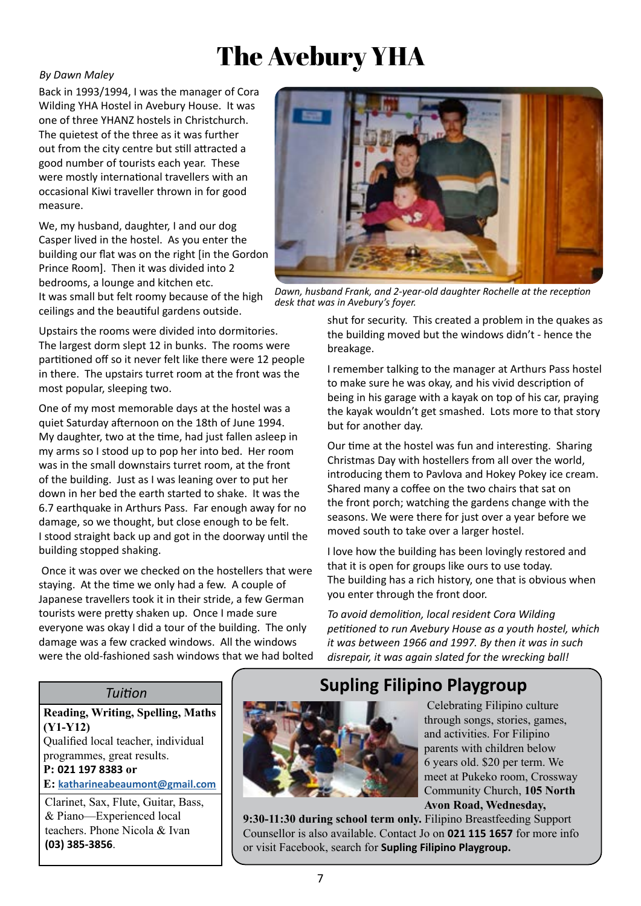## The Avebury YHA

#### *By Dawn Maley*

Back in 1993/1994, I was the manager of Cora Wilding YHA Hostel in Avebury House. It was one of three YHANZ hostels in Christchurch. The quietest of the three as it was further out from the city centre but still attracted a good number of tourists each year. These were mostly international travellers with an occasional Kiwi traveller thrown in for good measure.

We, my husband, daughter, I and our dog Casper lived in the hostel. As you enter the building our flat was on the right [in the Gordon Prince Room]. Then it was divided into 2 bedrooms, a lounge and kitchen etc. It was small but felt roomy because of the high

ceilings and the beautiful gardens outside.

Upstairs the rooms were divided into dormitories. The largest dorm slept 12 in bunks. The rooms were partitioned off so it never felt like there were 12 people in there. The upstairs turret room at the front was the most popular, sleeping two.

One of my most memorable days at the hostel was a quiet Saturday afternoon on the 18th of June 1994. My daughter, two at the time, had just fallen asleep in my arms so I stood up to pop her into bed. Her room was in the small downstairs turret room, at the front of the building. Just as I was leaning over to put her down in her bed the earth started to shake. It was the 6.7 earthquake in Arthurs Pass. Far enough away for no damage, so we thought, but close enough to be felt. I stood straight back up and got in the doorway until the building stopped shaking.

 Once it was over we checked on the hostellers that were staying. At the time we only had a few. A couple of Japanese travellers took it in their stride, a few German tourists were pretty shaken up. Once I made sure everyone was okay I did a tour of the building. The only damage was a few cracked windows. All the windows were the old-fashioned sash windows that we had bolted



*Dawn, husband Frank, and 2-year-old daughter Rochelle at the reception desk that was in Avebury's foyer.*

shut for security. This created a problem in the quakes as the building moved but the windows didn't - hence the breakage.

I remember talking to the manager at Arthurs Pass hostel to make sure he was okay, and his vivid description of being in his garage with a kayak on top of his car, praying the kayak wouldn't get smashed. Lots more to that story but for another day.

Our time at the hostel was fun and interesting. Sharing Christmas Day with hostellers from all over the world, introducing them to Pavlova and Hokey Pokey ice cream. Shared many a coffee on the two chairs that sat on the front porch; watching the gardens change with the seasons. We were there for just over a year before we moved south to take over a larger hostel.

I love how the building has been lovingly restored and that it is open for groups like ours to use today. The building has a rich history, one that is obvious when you enter through the front door.

*To avoid demolition, local resident Cora Wilding petitioned to run Avebury House as a youth hostel, which it was between 1966 and 1997. By then it was in such disrepair, it was again slated for the wrecking ball!*

#### *Tuition*

**Reading, Writing, Spelling, Maths (Y1-Y12)** Qualified local teacher, individual programmes, great results.

**P: 021 197 8383 or E: katharineabeaumont@gmail.com**

**(03) 385-3856**.

Clarinet, Sax, Flute, Guitar, Bass, & Piano—Experienced local teachers. Phone Nicola & Ivan

### **Supling Filipino Playgroup**



 Celebrating Filipino culture through songs, stories, games, and activities. For Filipino parents with children below 6 years old. \$20 per term. We meet at Pukeko room, Crossway Community Church, **105 North Avon Road, Wednesday,** 

**9:30-11:30 during school term only.** Filipino Breastfeeding Support Counsellor is also available. Contact Jo on **021 115 1657** for more info or visit Facebook, search for **Supling Filipino Playgroup.**